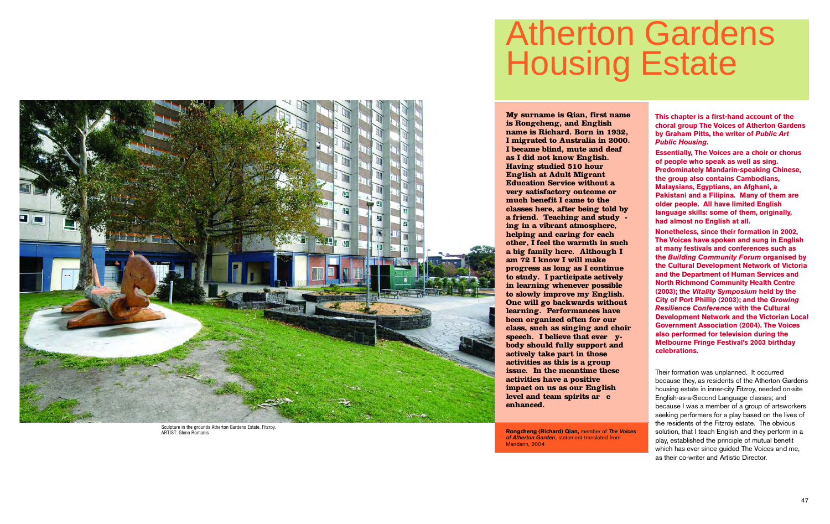**This chapter is a first-hand account of the choral group The Voices of Atherton Gardens by Graham Pitts, the writer of** *Public Art Public Housing***.** 

**Essentially, The Voices are a choir or chorus of people who speak as well as sing. Predominately Mandarin-speaking Chinese, the group also contains Cambodians, Malaysians, Egyptians, an Afghani, a Pakistani and a Filipina. Many of them are older people. All have limited English language skills: some of them, originally, had almost no English at all.** 

**Nonetheless, since their formation in 2002, The Voices have spoken and sung in English at many festivals and conferences such as the** *Building Community Forum* **organised by the Cultural Development Network of Victoria and the Department of Human Services and North Richmond Community Health Centre ( 2 0 0 3 ) ; the** *Vitality Symposium* **held by the City of Port Phillip (2003); and the Growing** *Resilience Conference* **with the Cultural Development Network and the Victorian Local Government Association (2004). The Voices also performed for television during the Melbourne Fringe Festival's 2003 birthday** celebrations.

Their formation was unplanned. It occurred because they, as residents of the Atherton Gardens housing estate in inner-city Fitzroy, needed on-site English-as-a-Second Language classes; and because I was a member of a group of artsworkers seeking performers for a play based on the lives of the residents of the Fitzroy estate. The obvious solution, that I teach English and they perform in a play, established the principle of mutual benefit which has ever since quided The Voices and me, as their co-writer and Artistic Director.

## Atherton Gardens Housing Estate

**My surname is Qian, first name is Rongcheng, and English name is Richard. Born in 1932, I migrated to Australia in 2000. I became blind, mute and deaf as I did not know English. Having studied 510 hour English at Adult Migrant Education Service without a very satisfactory outcome or much benefit I came to the classes here, after being told by a friend. Teaching and study ing in a vibrant atmosphere, helping and caring for each other, I feel the warmth in such a big family here. Although I am 72 I know I will make progress as long as I continue to study. I participate actively in learning whenever possible to slowly improve my English. One will go backwards without learning. Performances have been organized often for our class, such as singing and choir speech. I believe that ever ybody should fully support and actively take part in those activities as this is a group issue. In the meantime these activities have a positive impact on us as our English level and team spirits ar e enhanced.**

**Rongcheng (Richard) Qian,** member of *The Voices of Atherton Garden*, statement translated from Mandarin, 200 4



Sculpture in the grounds Atherton Gardens Estate, Fitzroy. ARTIST: Glenn Romanis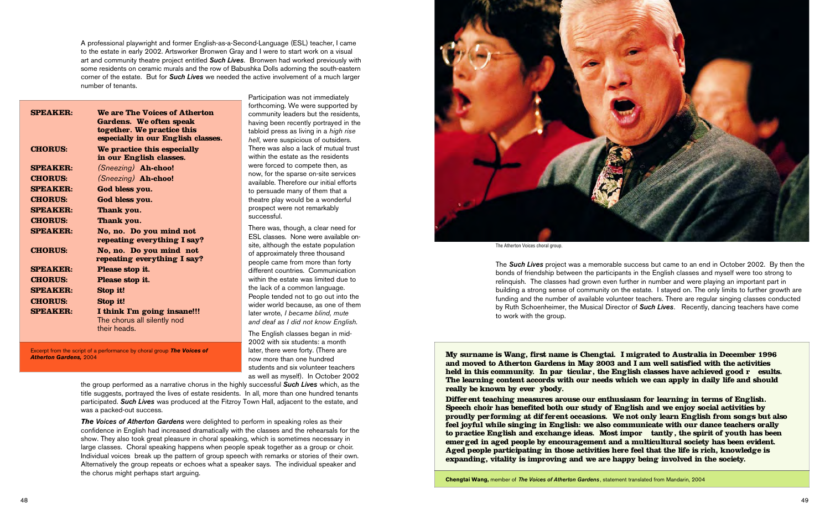A professional playwright and former English-as-a-Second-Language (ESL) teacher, I came to the estate in early 2002. Artsworker Bronwen Gray and I were to start work on a visual art and community theatre project entitled *Such Lives*. Bronwen had worked previously with some residents on ceramic murals and the row of Babushka Dolls adorning the south-eastern corner of the estate. But for *Such Lives* we needed the active involvement of a much larger number of tenants.

> nere was, though, a clear need for ESL classes. None were available onte, although the estate population f approximately three thousand eople came from more than forty fferent countries. Communication ithin the estate was limited due to e lack of a common language. eople tended not to go out into the ider world because, as one of them ter wrote, *I became blind, mute and deaf as I did not know English.*

> Participation was not immediately rthcoming. We were supported by ommunity leaders but the residents, aving been recently portrayed in the bloid press as living in a *high rise hell*, were suspicious of outsiders. nere was also a lack of mutual trust ithin the estate as the residents ere forced to compete then, as ow, for the sparse on-site services vailable. Therefore our initial efforts persuade many of them that a eatre play would be a wonderful rospect were not remarkably successful.

ne English classes began in mid-2002 with six students: a month later, there were forty. (There are now more than one hundred students and six volunteer teachers as well as myself). In October 2002

the group performed as a narrative chorus in the highly successful *Such Lives* which, as the title suggests, portrayed the lives of estate residents. In all, more than one hundred tenants participated. *Such Lives* was produced at the Fitzroy Town Hall, adjacent to the estate, and was a packed-out success.

**My surname is Wang, first name is Chengtai. I migrated to Australia in December 1996 and moved to Atherton Gardens in May 2003 and I am well satisfied with the activities held in this community. In par ticular, the English classes have achieved good r** esults. **The learning content accords with our needs which we can apply in daily life and should** really be known by ever ybody.

*The Voices of Atherton Gardens* were delighted to perform in speaking roles as their confidence in English had increased dramatically with the classes and the rehearsals for the show. They also took great pleasure in choral speaking, which is sometimes necessary in large classes. Choral speaking happens when people speak together as a group or choir. Individual voices break up the pattern of group speech with remarks or stories of their own. Alternatively the group repeats or echoes what a speaker says. The individual speaker and the chorus might perhaps start arguing.

Differ ent teaching measures arouse our enthusiasm for learning in terms of English. **Speech choir has benefited both our study of English and we enjoy social activities by** proudly performing at different occasions. We not only learn English from songs but also **feel joyful while singing in English: we also communicate with our dance teachers orally** to practice English and exchange ideas. Most impor **tantly**, the spirit of youth has been emer ged in aged people by encouragement and a multicultural society has been evident. **Aged people participating in those activities here feel that the life is rich, knowledge is expanding, vitality is improving and we are happy being involved in the society.**

|                 |                                    | fo             |
|-----------------|------------------------------------|----------------|
| <b>SPEAKER:</b> | We are The Voices of Atherton      | CC             |
|                 | Gardens. We often speak            | ha             |
|                 | together. We practice this         | tal            |
|                 | especially in our English classes. | he             |
| <b>CHORUS:</b>  | We practice this especially        | Th             |
|                 | in our English classes.            | wi             |
| <b>SPEAKER:</b> | (Sneezing) Ah-choo!                | W <sub>0</sub> |
| <b>CHORUS:</b>  | (Sneezing) Ah-choo!                | nc             |
| <b>SPEAKER:</b> | God bless you.                     | av<br>to       |
| <b>CHORUS:</b>  | God bless you.                     | th             |
|                 |                                    | pr             |
| <b>SPEAKER:</b> | Thank you.                         | su             |
| <b>CHORUS:</b>  | Thank you.                         |                |
| <b>SPEAKER:</b> | No, no. Do you mind not            | Th             |
|                 | repeating everything I say?        | ES             |
| <b>CHORUS:</b>  | No, no. Do you mind not            | sit<br>of      |
|                 | repeating everything I say?        |                |
| <b>SPEAKER:</b> | Please stop it.                    | pe<br>dil      |
| <b>CHORUS:</b>  | Please stop it.                    | wi             |
| <b>SPEAKER:</b> |                                    | th             |
|                 | Stop it!                           | Pe             |
| <b>CHORUS:</b>  | Stop it!                           | wi             |
| <b>SPEAKER:</b> | I think I'm going insane!!!        | lat            |
|                 | The chorus all silently nod        | ar             |
|                 | their heads.                       | Th             |
|                 |                                    |                |

Excerpt from the script of a performance by choral group *The Voices of Atherton Gardens,* 2004

The *Such Lives* project was a memorable success but came to an end in October 2002. By then the bonds of friendship between the participants in the English classes and myself were too strong to relinquish. The classes had grown even further in number and were playing an important part in building a strong sense of community on the estate. I stayed on. The only limits to further growth are funding and the number of available volunteer teachers. There are regular singing classes conducted by Ruth Schoenheimer, the Musical Director of *Such Lives*. Recently, dancing teachers have come to work with the group.

**Chengtai Wang,** member of *The Voices of Atherton Gardens*, statement translated from Mandarin, 2004



The Atherton Voices choral group.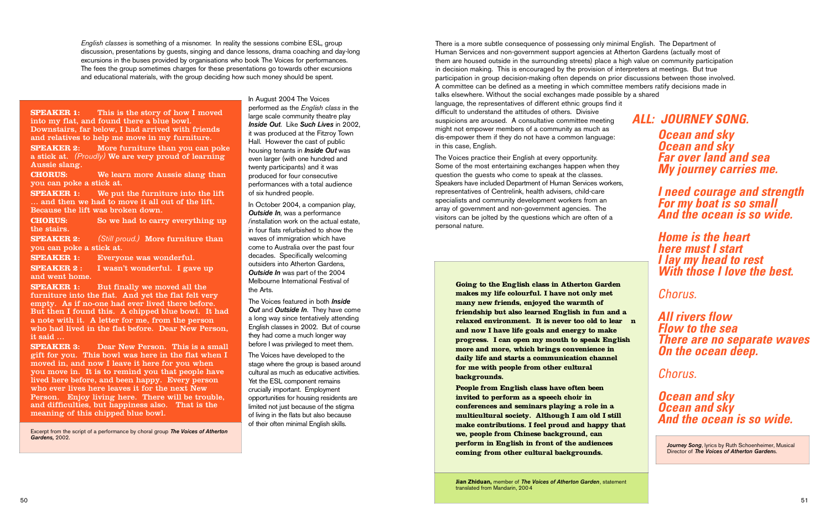*English classes* is something of a misnomer. In reality the sessions combine ESL, group discussion, presentations by guests, singing and dance lessons, drama coaching and day-long excursions in the buses provided by organisations who book The Voices for performances. The fees the group sometimes charges for these presentations go towards other excursions and educational materials, with the group deciding how such money should be spent.

> In August 2004 The Voices performed as the *English class* in the large scale community theatre play *Inside Out*. Like *Such Lives* in 2002, it was produced at the Fitzroy Town Hall. However the cast of public housing tenants in *Inside Out* was even larger (with one hundred and twenty participants) and it was produced for four consecutive performances with a total audience of six hundred people.

The Voices featured in both *Inside Out* and **Outside In**. They have come a long way since tentatively attending English classes in 2002. But of course they had come a much longer way before I was privileged to meet them.

**SPEAKER 1:** This is the story of how I moved into my flat, and found there a blue bowl. Downstairs, far below, I had arrived with friends and relatives to help me move in my furniture.

> In October 2004, a companion play, *Outside In*, was a performance  $/$  in stallation work on the actual estate. in four flats refurbished to show the waves of immigration which have come to Australia over the past four decades. Specifically welcoming outsiders into Atherton Gardens, *Outside In* was part of the 2004 Melbourne International Festival of the Arts.

**SPEAKER 2:** More furniture than you can poke a stick at. *(Proudly)* We are very proud of learning Aussie slang.

**SPEAKER 1:** But finally we moved all the furniture into the flat. And yet the flat felt very empty. As if no-one had ever lived there before. But then I found this. A chipped blue bowl. It had a note with it. A letter for me, from the person who had lived in the flat before. Dear New Person, it said …

> The Voices have developed to the stage where the group is based around cultural as much as educative activities. Yet the ESL component remains crucially important. Employment opportunities for housing residents are limited not just because of the stigma of living in the flats but also because of their often minimal English skills.

**CHORUS:** We learn more Aussie slang than you can poke a stick at.

**SPEAKER 1:** We put the furniture into the lift … and then we had to move it all out of the lift. Because the lift was broken down.

**CHORUS:** So we had to carry everything up the stairs.

**SPEAKER 2:** *(Still proud.)* More furniture than you can poke a stick at.

**SPEAKER 1:** Everyone was wonderful.

**SPEAKER 2 :** I wasn't wonderful. I gave up and went home.

**SPEAKER 3:** Dear New Person. This is a small gift for you. This bowl was here in the flat when I moved in, and now I leave it here for you when you move in. It is to remind you that people have lived here before, and been happy. Every person who ever lives here leaves it for the next New Person. Enjoy living here. There will be trouble, and difficulties, but happiness also. That is the meaning of this chipped blue bowl.

Excerpt from the script of a performance by choral group *The Voices of Atherton Gardens,* 2002.

There is a more subtle consequence of possessing only minimal English. The Department of Human Services and non-government support agencies at Atherton Gardens (actually most of them are housed outside in the surrounding streets) place a high value on community participation in decision making. This is encouraged by the provision of interpreters at meetings. But true participation in group decision-making often depends on prior discussions between those involved. A committee can be defined as a meeting in which committee members ratify decisions made in talks elsewhere. Without the social exchanges made possible by a shared language, the representatives of different ethnic groups find it difficult to understand the attitudes of others. Divisive suspicions are aroused. A consultative committee meeting might not empower members of a community as much as dis-empower them if they do not have a common language: in this case, English. The Voices practice their English at every opportunity. Some of the most entertaining exchanges happen when they *ALL: JOURNEY SONG. Ocean and sky Ocean and sky Far over land and sea My journey carries me.*

question the guests who come to speak at the classes. Speakers have included Department of Human Services workers, representatives of Centrelink, health advisers, child-care specialists and community development workers from an array of government and non-government agencies. The visitors can be jolted by the questions which are often of a personal nature.

*I need courage and strength For my boat is so small And the ocean is so wide.*

*Home is the heart here must I start I lay my head to rest With those I love the best.*

*Chorus.*

*All rivers flow Flow to the sea There are no separate waves On the ocean deep.*

*Chorus.*

*Ocean and sky Ocean and sky And the ocean is so wide.*

**Going to the English class in Atherton Garden makes my life colourful. I have not only met many new friends, enjoyed the warmth of friendship but also learned English in fun and a relaxed environment. It is never too old to lear n and now I have life goals and energy to make progress. I can open my mouth to speak English more and more, which brings convenience in daily life and starts a communication channel for me with people from other cultural backgrounds.**

**People from English class have often been invited to perform as a speech choir in conferences and seminars playing a role in a multicultural society. Although I am old I still make contributions. I feel proud and happy that we, people from Chinese background, can perform in English in front of the audiences coming from other cultural backgrounds.**

*Journey Song*, lyrics by Ruth Schoenheimer, Musical Director of *The Voices of Atherton Garden*s.